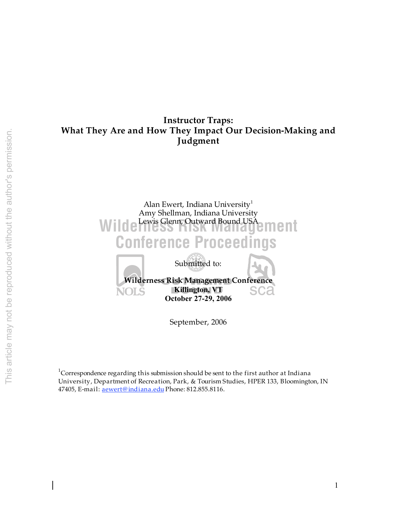# **Instructor Traps: What They Are and How They Impact Our Decision-Making and Judgment**



September, 2006

 $1$ Correspondence regarding this submission should be sent to the first author at Indiana University, Department of Recreation, Park, & Tourism Studies, HPER 133, Bloomington, IN 47405, E-mail: aewert@ indiana.edu Phone: 812.855.8116.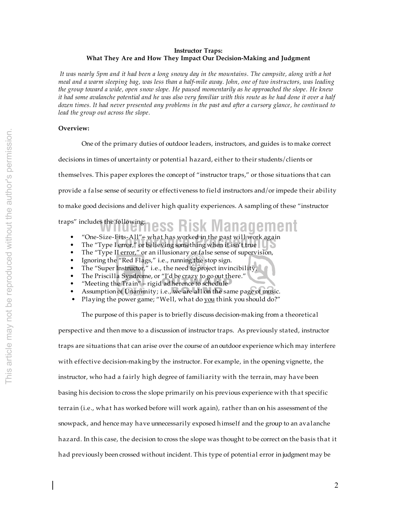# **Instructor Traps: What They Are and How They Impact Our Decision-Making and Judgment**

 *It was nearly 5pm and it had been a long snowy day in the mountains. The campsite, along with a hot meal and a warm sleeping bag, was less than a half-mile away. John, one of two instructors, was leading the group toward a wide, open snow slope. He paused momentarily as he approached the slope. He knew it had some avalanche potential and he was also very familiar with this route as he had done it over a half dozen times. It had never presented any problems in the past and after a cursory glance, he continued to lead the group out across the slope.* 

# **Overview:**

One of the primary duties of outdoor leaders, instructors, and guides is to make correct decisions in times of uncertainty or potential hazard, either to their students/clients or themselves. This paper explores the concept of "instructor traps," or those situations that can provide a false sense of security or effectiveness to field instructors and/or impede their ability to make good decisions and deliver high quality experiences. A sampling of these "instructor traps" includes the following:

- **Wilderness Risk Managem**
- "One-Size-Fits-All"– what has worked in the past will work again
- "One-Size-Fits-All"– what has worked in the past will work again<br>• The "Type I error," or believing something when it isn't true
- The "Type II error," or an illusionary or false sense of supervision,
- Ignoring the "Red Flags," i.e., running the stop sign.
- The "Super Instructor," i.e., the need to project invincibility,
- The Priscilla Syndrome, or "I'd be crazy to go out there."
- "Meeting the Train" rigid adherence to schedule
- Assumption of Unanimity; i.e., we are all on the same page of music.
- Playing the power game; "Well, what do you think you should do?"

The purpose of this paper is to briefly discuss decision-making from a theoretical perspective and then move to a discussion of instructor traps. As previously stated, instructor traps are situations that can arise over the course of an outdoor experience which may interfere with effective decision-making by the instructor. For example, in the opening vignette, the instructor, who had a fairly high degree of familiarity with the terrain, may have been basing his decision to cross the slope primarily on his previous experience with that specific terrain (i.e., what has worked before will work again), rather than on his assessment of the snowpack, and hence may have unnecessarily exposed himself and the group to an avalanche hazard. In this case, the decision to cross the slope was thought to be correct on the basis that it had previously been crossed without incident. This type of potential error in judgment may be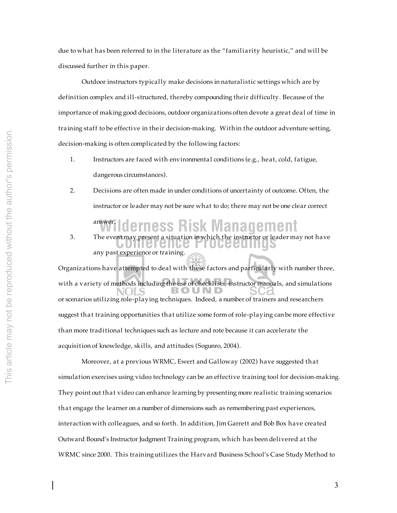due to what has been referred to in the literature as the "familiarity heuristic," and will be discussed further in this paper.

Outdoor instructors typically make decisions in naturalistic settings which are by definition complex and ill-structured, thereby compounding their difficulty. Because of the importance of making good decisions, outdoor organizations often devote a great deal of time in training staff to be effective in their decision-making. Within the outdoor adventure setting, decision-making is often complicated by the following factors:

- 1. Instructors are faced with environmental conditions (e.g., heat, cold, fatigue, dangerous circumstances).
- **Wilderness Risk Management** 2. Decisions are often made in under conditions of uncertainty of outcome. Often, the instructor or leader may not be sure what to do; there may not be one clear correct answer.
- 3. The event may present a situation in which the instructor or leader may not have any past experience or training.

Organizations have attempted to deal with these factors and particularly with number three, with a variety of methods including the use of checklists, instructor manuals, and simulations or scenarios utilizing role-playing techniques. Indeed, a number of trainers and researchers suggest that training opportunities that utilize some form of role-playing can be more effective than more traditional techniques such as lecture and rote because it can accelerate the acquisition of knowledge, skills, and attitudes (Sogunro, 2004).

Moreover, at a previous WRMC, Ewert and Galloway (2002) have suggested that simulation exercises using video technology can be an effective training tool for decision-making. They point out that video can enhance learning by presenting more realistic training scenarios that engage the learner on a number of dimensions such as remembering past experiences, interaction with colleagues, and so forth. In addition, Jim Garrett and Bob Box have created Outward Bound's Instructor Judgment Training program, which has been delivered at the WRMC since 2000. This training utilizes the Harvard Business School's Case Study Method to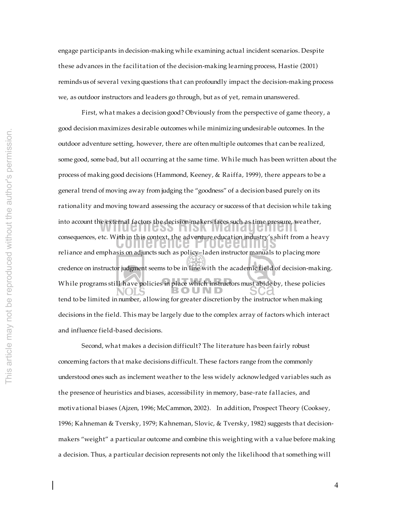engage participants in decision-making while examining actual incident scenarios. Despite these advances in the facilitation of the decision-making learning process, Hastie (2001) reminds us of several vexing questions that can profoundly impact the decision-making process we, as outdoor instructors and leaders go through, but as of yet, remain unanswered.

consequences, etc. Within this context, the adventure education industry's shift from a heavy into account the external factors the decision-makers faces such as time pressure, weather, First, what makes a decision good? Obviously from the perspective of game theory, a good decision maximizes desirable outcomes while minimizing undesirable outcomes. In the outdoor adventure setting, however, there are often multiple outcomes that can be realized, some good, some bad, but all occurring at the same time. While much has been written about the process of making good decisions (Hammond, Keeney, & Raiffa, 1999), there appears to be a general trend of moving away from judging the "goodness" of a decision based purely on its rationality and moving toward assessing the accuracy or success of that decision while taking reliance and emphasis on adjuncts such as policy–laden instructor manuals to placing more credence on instructor judgment seems to be in line with the academic field of decision-making. Wh ile programs still have policies in place which instructors must abide by, these policies tend to be limited in number, allowing for greater discretion by the instructor when making decisions in the field. This may be largely due to the complex array of factors which interact and influence field-based decisions.

Second, what makes a decision difficult? The literature has been fairly robust concerning factors that make decisions difficult. These factors range from the commonly understood ones such as inclement weather to the less widely acknowledged variables such as the presence of heuristics and biases, accessibility in memory, base-rate fallacies, and motivational biases (Ajzen, 1996; McCammon, 2002). In addition, Prospect Theory (Cooksey, 1996; Kahneman & Tversky, 1979; Kahneman, Slovic, & Tversky, 1982) suggests that decisionmakers "weight" a particular outcome and combine this weighting with a value before making a decision. Thus, a particular decision represents not only the likelihood that something will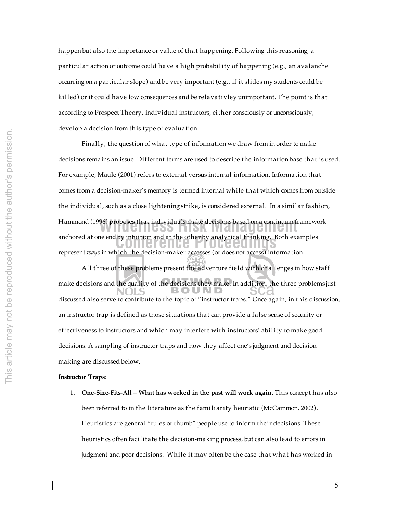happen but also the importance or value of that happening. Following this reasoning, a particular action or outcome could have a high probability of happening (e.g., an avalanche occurring on a particular slope) and be very important (e.g., if it slides my students could be killed) or it could have low consequences and be relavativley unimportant. The point is that according to Prospect Theory, individual instructors, either consciously or unconsciously, develop a decision from this type of evaluation.

anchored at one end by intuition and at the other by analytical thinking. Both examples **Hammond (1996) proposes that individuals make decisions based on a continuum framework** Finally, the question of what type of information we draw from in order to make decisions remains an issue. Different terms are used to describe the information base that is used. For example, Maule (2001) refers to external versus internal information. Information that comes from a decision-maker's memory is termed internal while that which comes from outside the individual, such as a close lightening strike, is considered external. In a similar fashion, represent *ways* in which the decision-maker accesses (or does not access) information. All three of these problems present the adventure field with challenges in how staff make decisions and the quality of the decisions they make. In addition, the three problems just

discussed also serve to contribute to the topic of "instructor traps." Once again, in this discussion, an instructor trap is defined as those situations that can provide a false sense of security or effectiveness to instructors and which may interfere with instructors' ability to make good decisions. A sampling of instructor traps and how they affect one's judgment and decisionmaking are discussed below.

#### **Instructor Traps:**

1. **One-Size-Fits-All – What has worked in the past will work again**. This concept has also been referred to in the literature as the familiarity heuristic (McCammon, 2002). Heuristics are general "rules of thumb" people use to inform their decisions. These heuristics often facilitate the decision-making process, but can also lead to errors in judgment and poor decisions. While it may often be the case that what has worked in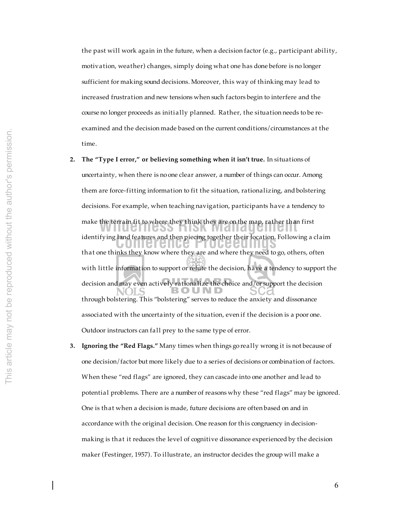the past will work again in the future, when a decision factor (e.g., participant ability, motivation, weather) changes, simply doing what one has done before is no longer sufficient for making sound decisions. Moreover, this way of thinking may lead to increased frustration and new tensions when such factors begin to interfere and the course no longer proceeds as initially planned. Rather, the situation needs to be reexamined and the decision made based on the current conditions/circumstances at the time.

**2. The "Type I error," or believing something when it isn't true.** In situations of

identifying land features and then piecing together their location. Following a claim<br> **Conference** of the context of the context of the context of the context of the context of the context of the context of the context of make the terrain fit to where they think they are on the map, rather than first  $\frac{1}{2}$ uncertainty, when there is no one clear answer, a number of things can occur. Among them are force-fitting information to fit the situation, rationalizing, and bolstering decisions. For example, when teaching navigation, participants have a tendency to that one thinks they know where they are and where they need to go, others, often with little information to support or refute the decision, have a tendency to support the decision and may even actively rationalize the choice and/or support the decision through bolstering. This "bolstering" serves to reduce the anxiety and dissonance associated with the uncertainty of the situation, even if the decision is a poor one. Outdoor instructors can fall prey to the same type of error.

**3. Ignoring the "Red Flags."** Many times when things go really wrong it is not because of one decision/factor but more likely due to a series of decisions or combination of factors. When these "red flags" are ignored, they can cascade into one another and lead to potential problems. There are a number of reasons why these "red flags" may be ignored. One is that when a decision is made, future decisions are often based on and in accordance with the original decision. One reason for this congruency in decisionmaking is that it reduces the level of cognitive dissonance experienced by the decision maker (Festinger, 1957). To illustrate, an instructor decides the group will make a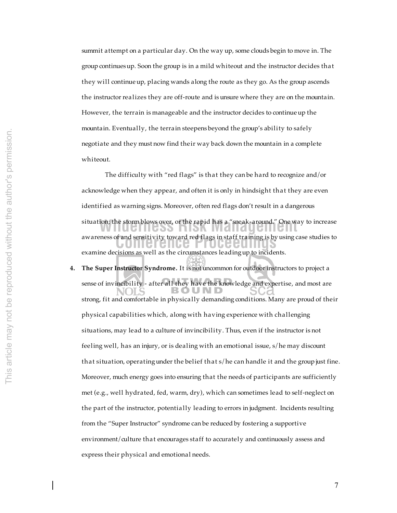summit attempt on a particular day. On the way up, some clouds begin to move in. The group continues up. Soon the group is in a mild whiteout and the instructor decides that they will continue up, placing wands along the route as they go. As the group ascends the instructor realizes they are off-route and is unsure where they are on the mountain. However, the terrain is manageable and the instructor decides to continue up the mountain. Eventually, the terrain steepens beyond the group's ability to safely negotiate and they must now find their way back down the mountain in a complete whiteout.

awareness of and sensitivity toward red flags in staff training is by using case studies to situation; the storm blows over, or the rapid has a "sneak-around." One way to increase The difficulty with "red flags" is that they can be hard to recognize and/or acknowledge when they appear, and often it is only in hindsight that they are even identified as warning signs. Moreover, often red flags don't result in a dangerous examine decisions as well as the circumstances leading up to incidents.

**4. The Super Instructor Syndrome.** It is not uncommon for outdoor instructors to project a sense of invincibility - after all they have the knowledge and expertise, and most are ) U N D strong, fit and comfortable in physically demanding conditions. Many are proud of their physical capabilities which, along with having experience with challenging situations, may lead to a culture of invincibility. Thus, even if the instructor is not feeling well, has an injury, or is dealing with an emotional issue, s/he may discount that situation, operating under the belief that s/he can handle it and the group just fine. Moreover, much energy goes into ensuring that the needs of participants are sufficiently met (e.g., well hydrated, fed, warm, dry), which can sometimes lead to self-neglect on the part of the instructor, potentially leading to errors in judgment. Incidents resulting from the "Super Instructor" syndrome can be reduced by fostering a supportive environment/culture that encourages staff to accurately and continuously assess and express their physical and emotional needs.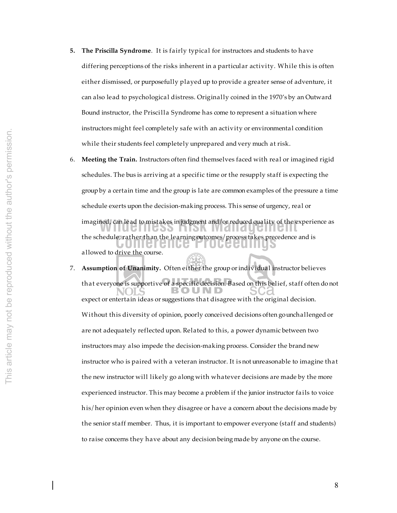- **5. The Priscilla Syndrome**. It is fairly typical for instructors and students to have differing perceptions of the risks inherent in a particular activity. While this is often either dismissed, or purposefully played up to provide a greater sense of adventure, it can also lead to psychological distress. Originally coined in the 1970's by an Outward Bound instructor, the Priscilla Syndrome has come to represent a situation where instructors might feel completely safe with an activity or environmental condition while their students feel completely unprepared and very much at risk.
- the schedule, rather than the learning outcomes/process takes precedence and is imagined, can lead to mistakes in judgment and/or reduced quality of the experience as 6. **Meeting the Train.** Instructors often find themselves faced with real or imagined rigid schedules. The bus is arriving at a specific time or the resupply staff is expecting the group by a certain time and the group is late are common examples of the pressure a time schedule exerts upon the decision-making process. This sense of urgency, real or allowed to drive the course.
- 7. **Assumption of Unanimity.** Often either the group or individual instructor believes that everyone is supportive of a specific decision. Based on this belief, staff often do not expect or entertain ideas or suggestions that disagree with the original decision. Without this diversity of opinion, poorly conceived decisions often go unchallenged or are not adequately reflected upon. Related to this, a power dynamic between two instructors may also impede the decision-making process. Consider the brand new instructor who is paired with a veteran instructor. It is not unreasonable to imagine that the new instructor will likely go along with whatever decisions are made by the more experienced instructor. This may become a problem if the junior instructor fails to voice his/her opinion even when they disagree or have a concern about the decisions made by the senior staff member. Thus, it is important to empower everyone (staff and students) to raise concerns they have about any decision being made by anyone on the course.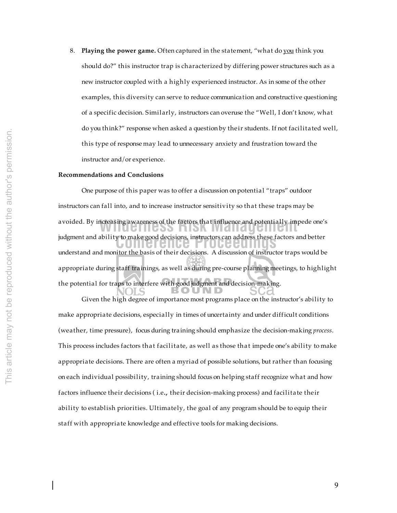8. **Playing the power game.** Often captured in the statement, "what do you think you should do?" this instructor trap is characterized by differing power structures such as a new instructor coupled with a highly experienced instructor. As in some of the other examples, this diversity can serve to reduce communication and constructive questioning of a specific decision. Similarly, instructors can overuse the "Well, I don't know, what do you think?" response when asked a question by their students. If not facilitated well, this type of response may lead to unnecessary anxiety and frustration toward the instructor and/or experience.

# **Recommendations and Conclusions**

**Conference Proceedings** judgment and ability to make good decisions, instructors can address these factors and better avoided. By increasing awareness of the factors that influence and potentially impede one's **Solution** One purpose of this paper was to offer a discussion on potential "traps" outdoor instructors can fall into, and to increase instructor sensitivity so that these traps may be understand and monitor the basis of their decisions. A discussion of instructor traps would be appropriate during staff trainings, as well as during pre-course planning meetings, to highlight the potential for traps to interfere with good judgment and decision-making.

Given the high degree of importance most programs place on the instructor's ability to make appropriate decisions, especially in times of uncertainty and under difficult conditions (weather, time pressure), focus during training should emphasize the decision-making *process*. This process includes factors that facilitate, as well as those that impede one's ability to make appropriate decisions. There are often a myriad of possible solutions, but rather than focusing on each individual possibility, training should focus on helping staff recognize what and how factors influence their decisions ( i.e**.,** their decision-making process) and facilitate their ability to establish priorities. Ultimately, the goal of any program should be to equip their staff with appropriate knowledge and effective tools for making decisions.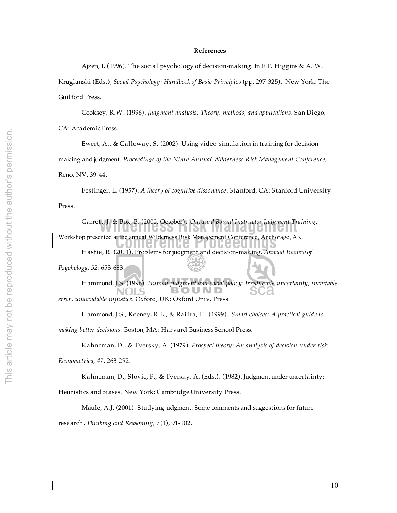### **References**

Ajzen, I. (1996). The social psychology of decision-making. In E.T. Higgins & A. W.

Kruglanski (Eds.), *Social Psychology: Handbook of Basic Principles* (pp. 297-325). New York: The Guilford Press.

Cooksey, R.W. (1996). *Judgment analysis: Theory, methods, and applications*. San Diego,

CA: Academic Press.

Ewert, A., & Galloway, S. (2002). Using video-simulation in training for decision-

making and judgment. *Proceedings of the Ninth Annual Wilderness Risk Management Conference*,

Reno, NV, 39-44.

Festinger, L. (1957). *A theory of cognitive dissonance*. Stanford, CA: Stanford University Press.

Garrett, J. & Box, B, (2000, October). *Outward Bound Instructor Judgment Training*.

Workshop presented at the annual Wilderness Risk Management Conference, Anchorage, AK.

Hastie, R. (2001). Problems for judgment and decision-making. *Annual Review of* 

*Psychology, 52*: 653-683.

Hammond, J.S. (1996). *Human judgment and social policy: Irreducible uncertainty, inevitable*  BOUND *error, unavoidable injustice*. Oxford, UK: Oxford Univ. Press.

Hammond, J.S., Keeney, R.L., & Raiffa, H. (1999). *Smart choices: A practical guide to* 

*making better decisions.* Boston, MA: Harvard Business School Press.

Kahneman, D., & Tversky, A. (1979). *Prospect theory: An analysis of decision under risk.* 

*Econometrica, 47*, 263-292.

Kahneman, D., Slovic, P., & Tversky, A. (Eds.). (1982). Judgment under uncertainty:

Heuristics and biases. New York: Cambridge University Press.

Maule, A.J. (2001). Studying judgment: Some comments and suggestions for future

research. *Thinking and Reasoning, 7*(1), 91-102.